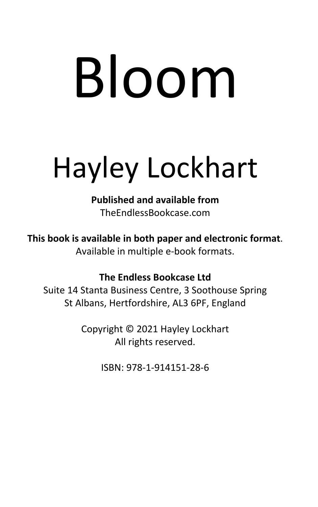# Hayley Lockhart

**Published and available from** TheEndlessBookcase.com

**This book is available in both paper and electronic format**. Available in multiple e-book formats.

#### **The Endless Bookcase Ltd**

Suite 14 Stanta Business Centre, 3 Soothouse Spring St Albans, Hertfordshire, AL3 6PF, England

> Copyright © 2021 Hayley Lockhart All rights reserved.

> > ISBN: 978-1-914151-28-6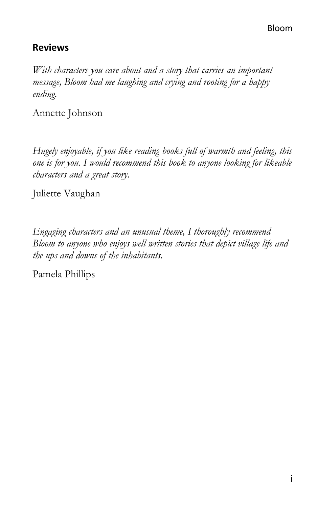# **Reviews**

*With characters you care about and a story that carries an important message, Bloom had me laughing and crying and rooting for a happy ending.* 

Annette Johnson

*Hugely enjoyable, if you like reading books full of warmth and feeling, this one is for you. I would recommend this book to anyone looking for likeable characters and a great story.* 

Juliette Vaughan

*Engaging characters and an unusual theme, I thoroughly recommend Bloom to anyone who enjoys well written stories that depict village life and the ups and downs of the inhabitants.* 

Pamela Phillips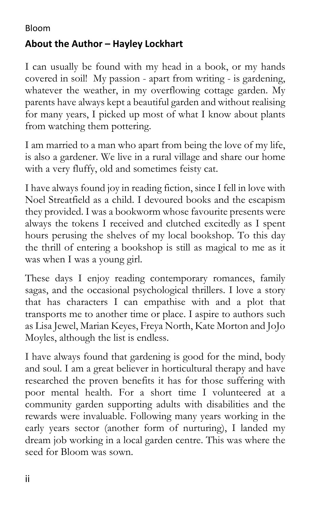# **About the Author – Hayley Lockhart**

I can usually be found with my head in a book, or my hands covered in soil! My passion - apart from writing - is gardening, whatever the weather, in my overflowing cottage garden. My parents have always kept a beautiful garden and without realising for many years, I picked up most of what I know about plants from watching them pottering.

I am married to a man who apart from being the love of my life, is also a gardener. We live in a rural village and share our home with a very fluffy, old and sometimes feisty cat.

I have always found joy in reading fiction, since I fell in love with Noel Streatfield as a child. I devoured books and the escapism they provided. I was a bookworm whose favourite presents were always the tokens I received and clutched excitedly as I spent hours perusing the shelves of my local bookshop. To this day the thrill of entering a bookshop is still as magical to me as it was when I was a young girl.

These days I enjoy reading contemporary romances, family sagas, and the occasional psychological thrillers. I love a story that has characters I can empathise with and a plot that transports me to another time or place. I aspire to authors such as Lisa Jewel, Marian Keyes, Freya North, Kate Morton and JoJo Moyles, although the list is endless.

I have always found that gardening is good for the mind, body and soul. I am a great believer in horticultural therapy and have researched the proven benefits it has for those suffering with poor mental health. For a short time I volunteered at a community garden supporting adults with disabilities and the rewards were invaluable. Following many years working in the early years sector (another form of nurturing), I landed my dream job working in a local garden centre. This was where the seed for Bloom was sown.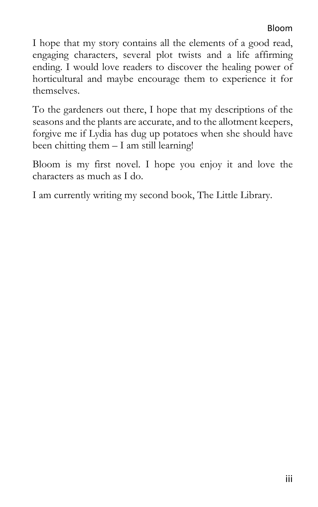I hope that my story contains all the elements of a good read, engaging characters, several plot twists and a life affirming ending. I would love readers to discover the healing power of horticultural and maybe encourage them to experience it for themselves.

To the gardeners out there, I hope that my descriptions of the seasons and the plants are accurate, and to the allotment keepers, forgive me if Lydia has dug up potatoes when she should have been chitting them – I am still learning!

Bloom is my first novel. I hope you enjoy it and love the characters as much as I do.

I am currently writing my second book, The Little Library.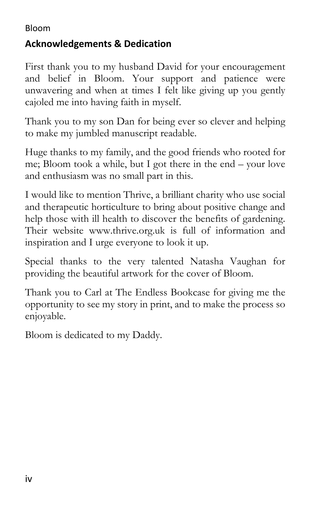# **Acknowledgements & Dedication**

First thank you to my husband David for your encouragement and belief in Bloom. Your support and patience were unwavering and when at times I felt like giving up you gently cajoled me into having faith in myself.

Thank you to my son Dan for being ever so clever and helping to make my jumbled manuscript readable.

Huge thanks to my family, and the good friends who rooted for me; Bloom took a while, but I got there in the end – your love and enthusiasm was no small part in this.

I would like to mention Thrive, a brilliant charity who use social and therapeutic horticulture to bring about positive change and help those with ill health to discover the benefits of gardening. Their website www.thrive.org.uk is full of information and inspiration and I urge everyone to look it up.

Special thanks to the very talented Natasha Vaughan for providing the beautiful artwork for the cover of Bloom.

Thank you to Carl at The Endless Bookcase for giving me the opportunity to see my story in print, and to make the process so enjoyable.

Bloom is dedicated to my Daddy.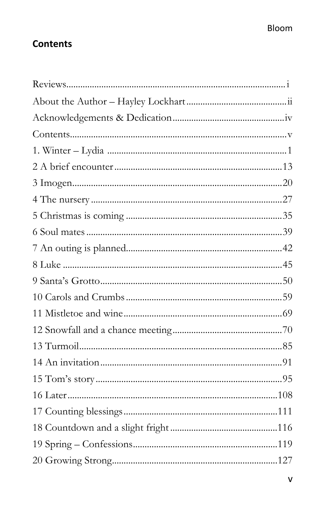# **Contents**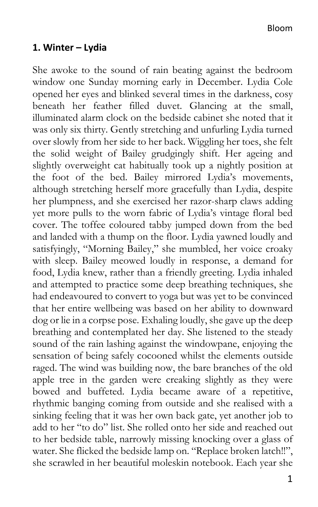#### **1. Winter – Lydia**

She awoke to the sound of rain beating against the bedroom window one Sunday morning early in December. Lydia Cole opened her eyes and blinked several times in the darkness, cosy beneath her feather filled duvet. Glancing at the small, illuminated alarm clock on the bedside cabinet she noted that it was only six thirty. Gently stretching and unfurling Lydia turned over slowly from her side to her back. Wiggling her toes, she felt the solid weight of Bailey grudgingly shift. Her ageing and slightly overweight cat habitually took up a nightly position at the foot of the bed. Bailey mirrored Lydia's movements, although stretching herself more gracefully than Lydia, despite her plumpness, and she exercised her razor-sharp claws adding yet more pulls to the worn fabric of Lydia's vintage floral bed cover. The toffee coloured tabby jumped down from the bed and landed with a thump on the floor. Lydia yawned loudly and satisfyingly, "Morning Bailey," she mumbled, her voice croaky with sleep. Bailey meowed loudly in response, a demand for food, Lydia knew, rather than a friendly greeting. Lydia inhaled and attempted to practice some deep breathing techniques, she had endeavoured to convert to yoga but was yet to be convinced that her entire wellbeing was based on her ability to downward dog or lie in a corpse pose. Exhaling loudly, she gave up the deep breathing and contemplated her day. She listened to the steady sound of the rain lashing against the windowpane, enjoying the sensation of being safely cocooned whilst the elements outside raged. The wind was building now, the bare branches of the old apple tree in the garden were creaking slightly as they were bowed and buffeted. Lydia became aware of a repetitive, rhythmic banging coming from outside and she realised with a sinking feeling that it was her own back gate, yet another job to add to her "to do" list. She rolled onto her side and reached out to her bedside table, narrowly missing knocking over a glass of water. She flicked the bedside lamp on. "Replace broken latch!!", she scrawled in her beautiful moleskin notebook. Each year she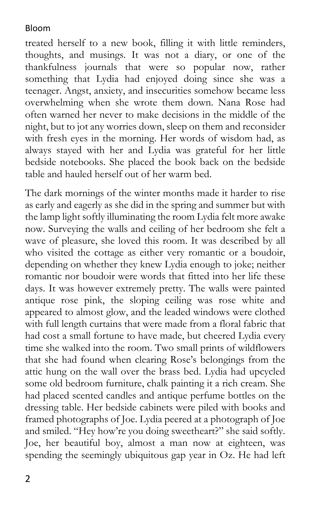treated herself to a new book, filling it with little reminders, thoughts, and musings. It was not a diary, or one of the thankfulness journals that were so popular now, rather something that Lydia had enjoyed doing since she was a teenager. Angst, anxiety, and insecurities somehow became less overwhelming when she wrote them down. Nana Rose had often warned her never to make decisions in the middle of the night, but to jot any worries down, sleep on them and reconsider with fresh eyes in the morning. Her words of wisdom had, as always stayed with her and Lydia was grateful for her little bedside notebooks. She placed the book back on the bedside table and hauled herself out of her warm bed.

The dark mornings of the winter months made it harder to rise as early and eagerly as she did in the spring and summer but with the lamp light softly illuminating the room Lydia felt more awake now. Surveying the walls and ceiling of her bedroom she felt a wave of pleasure, she loved this room. It was described by all who visited the cottage as either very romantic or a boudoir, depending on whether they knew Lydia enough to joke; neither romantic nor boudoir were words that fitted into her life these days. It was however extremely pretty. The walls were painted antique rose pink, the sloping ceiling was rose white and appeared to almost glow, and the leaded windows were clothed with full length curtains that were made from a floral fabric that had cost a small fortune to have made, but cheered Lydia every time she walked into the room. Two small prints of wildflowers that she had found when clearing Rose's belongings from the attic hung on the wall over the brass bed. Lydia had upcycled some old bedroom furniture, chalk painting it a rich cream. She had placed scented candles and antique perfume bottles on the dressing table. Her bedside cabinets were piled with books and framed photographs of Joe. Lydia peered at a photograph of Joe and smiled. "Hey how're you doing sweetheart?" she said softly. Joe, her beautiful boy, almost a man now at eighteen, was spending the seemingly ubiquitous gap year in Oz. He had left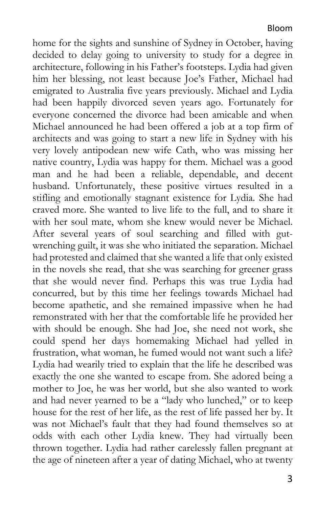home for the sights and sunshine of Sydney in October, having decided to delay going to university to study for a degree in architecture, following in his Father's footsteps. Lydia had given him her blessing, not least because Joe's Father, Michael had emigrated to Australia five years previously. Michael and Lydia had been happily divorced seven years ago. Fortunately for everyone concerned the divorce had been amicable and when Michael announced he had been offered a job at a top firm of architects and was going to start a new life in Sydney with his very lovely antipodean new wife Cath, who was missing her native country, Lydia was happy for them. Michael was a good man and he had been a reliable, dependable, and decent husband. Unfortunately, these positive virtues resulted in a stifling and emotionally stagnant existence for Lydia. She had craved more. She wanted to live life to the full, and to share it with her soul mate, whom she knew would never be Michael. After several years of soul searching and filled with gutwrenching guilt, it was she who initiated the separation. Michael had protested and claimed that she wanted a life that only existed in the novels she read, that she was searching for greener grass that she would never find. Perhaps this was true Lydia had concurred, but by this time her feelings towards Michael had become apathetic, and she remained impassive when he had remonstrated with her that the comfortable life he provided her with should be enough. She had Joe, she need not work, she could spend her days homemaking Michael had yelled in frustration, what woman, he fumed would not want such a life? Lydia had wearily tried to explain that the life he described was exactly the one she wanted to escape from. She adored being a mother to Joe, he was her world, but she also wanted to work and had never yearned to be a "lady who lunched," or to keep house for the rest of her life, as the rest of life passed her by. It was not Michael's fault that they had found themselves so at odds with each other Lydia knew. They had virtually been thrown together. Lydia had rather carelessly fallen pregnant at the age of nineteen after a year of dating Michael, who at twenty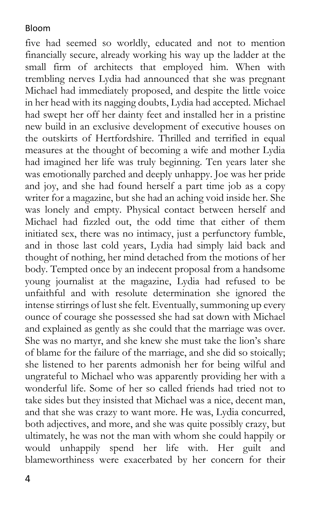five had seemed so worldly, educated and not to mention financially secure, already working his way up the ladder at the small firm of architects that employed him. When with trembling nerves Lydia had announced that she was pregnant Michael had immediately proposed, and despite the little voice in her head with its nagging doubts, Lydia had accepted. Michael had swept her off her dainty feet and installed her in a pristine new build in an exclusive development of executive houses on the outskirts of Hertfordshire. Thrilled and terrified in equal measures at the thought of becoming a wife and mother Lydia had imagined her life was truly beginning. Ten years later she was emotionally parched and deeply unhappy. Joe was her pride and joy, and she had found herself a part time job as a copy writer for a magazine, but she had an aching void inside her. She was lonely and empty. Physical contact between herself and Michael had fizzled out, the odd time that either of them initiated sex, there was no intimacy, just a perfunctory fumble, and in those last cold years, Lydia had simply laid back and thought of nothing, her mind detached from the motions of her body. Tempted once by an indecent proposal from a handsome young journalist at the magazine, Lydia had refused to be unfaithful and with resolute determination she ignored the intense stirrings of lust she felt. Eventually, summoning up every ounce of courage she possessed she had sat down with Michael and explained as gently as she could that the marriage was over. She was no martyr, and she knew she must take the lion's share of blame for the failure of the marriage, and she did so stoically; she listened to her parents admonish her for being wilful and ungrateful to Michael who was apparently providing her with a wonderful life. Some of her so called friends had tried not to take sides but they insisted that Michael was a nice, decent man, and that she was crazy to want more. He was, Lydia concurred, both adjectives, and more, and she was quite possibly crazy, but ultimately, he was not the man with whom she could happily or would unhappily spend her life with. Her guilt and blameworthiness were exacerbated by her concern for their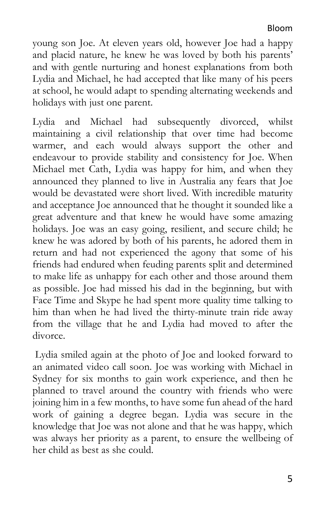young son Joe. At eleven years old, however Joe had a happy and placid nature, he knew he was loved by both his parents' and with gentle nurturing and honest explanations from both Lydia and Michael, he had accepted that like many of his peers at school, he would adapt to spending alternating weekends and holidays with just one parent.

Lydia and Michael had subsequently divorced, whilst maintaining a civil relationship that over time had become warmer, and each would always support the other and endeavour to provide stability and consistency for Joe. When Michael met Cath, Lydia was happy for him, and when they announced they planned to live in Australia any fears that Joe would be devastated were short lived. With incredible maturity and acceptance Joe announced that he thought it sounded like a great adventure and that knew he would have some amazing holidays. Joe was an easy going, resilient, and secure child; he knew he was adored by both of his parents, he adored them in return and had not experienced the agony that some of his friends had endured when feuding parents split and determined to make life as unhappy for each other and those around them as possible. Joe had missed his dad in the beginning, but with Face Time and Skype he had spent more quality time talking to him than when he had lived the thirty-minute train ride away from the village that he and Lydia had moved to after the divorce.

 Lydia smiled again at the photo of Joe and looked forward to an animated video call soon. Joe was working with Michael in Sydney for six months to gain work experience, and then he planned to travel around the country with friends who were joining him in a few months, to have some fun ahead of the hard work of gaining a degree began. Lydia was secure in the knowledge that Joe was not alone and that he was happy, which was always her priority as a parent, to ensure the wellbeing of her child as best as she could.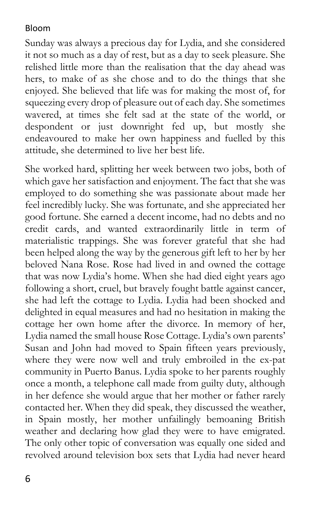Sunday was always a precious day for Lydia, and she considered it not so much as a day of rest, but as a day to seek pleasure. She relished little more than the realisation that the day ahead was hers, to make of as she chose and to do the things that she enjoyed. She believed that life was for making the most of, for squeezing every drop of pleasure out of each day. She sometimes wavered, at times she felt sad at the state of the world, or despondent or just downright fed up, but mostly she endeavoured to make her own happiness and fuelled by this attitude, she determined to live her best life.

She worked hard, splitting her week between two jobs, both of which gave her satisfaction and enjoyment. The fact that she was employed to do something she was passionate about made her feel incredibly lucky. She was fortunate, and she appreciated her good fortune. She earned a decent income, had no debts and no credit cards, and wanted extraordinarily little in term of materialistic trappings. She was forever grateful that she had been helped along the way by the generous gift left to her by her beloved Nana Rose. Rose had lived in and owned the cottage that was now Lydia's home. When she had died eight years ago following a short, cruel, but bravely fought battle against cancer, she had left the cottage to Lydia. Lydia had been shocked and delighted in equal measures and had no hesitation in making the cottage her own home after the divorce. In memory of her, Lydia named the small house Rose Cottage. Lydia's own parents' Susan and John had moved to Spain fifteen years previously, where they were now well and truly embroiled in the ex-pat community in Puerto Banus. Lydia spoke to her parents roughly once a month, a telephone call made from guilty duty, although in her defence she would argue that her mother or father rarely contacted her. When they did speak, they discussed the weather, in Spain mostly, her mother unfailingly bemoaning British weather and declaring how glad they were to have emigrated. The only other topic of conversation was equally one sided and revolved around television box sets that Lydia had never heard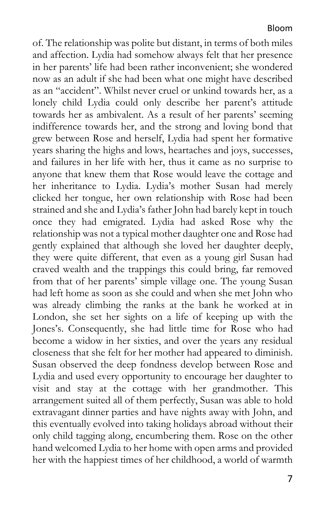of. The relationship was polite but distant, in terms of both miles and affection. Lydia had somehow always felt that her presence in her parents' life had been rather inconvenient; she wondered now as an adult if she had been what one might have described as an "accident". Whilst never cruel or unkind towards her, as a lonely child Lydia could only describe her parent's attitude towards her as ambivalent. As a result of her parents' seeming indifference towards her, and the strong and loving bond that grew between Rose and herself, Lydia had spent her formative years sharing the highs and lows, heartaches and joys, successes, and failures in her life with her, thus it came as no surprise to anyone that knew them that Rose would leave the cottage and her inheritance to Lydia. Lydia's mother Susan had merely clicked her tongue, her own relationship with Rose had been strained and she and Lydia's father John had barely kept in touch once they had emigrated. Lydia had asked Rose why the relationship was not a typical mother daughter one and Rose had gently explained that although she loved her daughter deeply, they were quite different, that even as a young girl Susan had craved wealth and the trappings this could bring, far removed from that of her parents' simple village one. The young Susan had left home as soon as she could and when she met John who was already climbing the ranks at the bank he worked at in London, she set her sights on a life of keeping up with the Jones's. Consequently, she had little time for Rose who had become a widow in her sixties, and over the years any residual closeness that she felt for her mother had appeared to diminish. Susan observed the deep fondness develop between Rose and Lydia and used every opportunity to encourage her daughter to visit and stay at the cottage with her grandmother. This arrangement suited all of them perfectly, Susan was able to hold extravagant dinner parties and have nights away with John, and this eventually evolved into taking holidays abroad without their only child tagging along, encumbering them. Rose on the other hand welcomed Lydia to her home with open arms and provided her with the happiest times of her childhood, a world of warmth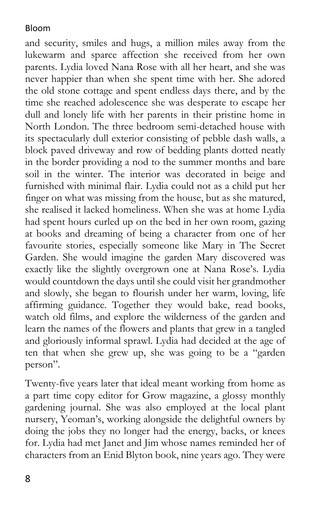and security, smiles and hugs, a million miles away from the lukewarm and sparce affection she received from her own parents. Lydia loved Nana Rose with all her heart, and she was never happier than when she spent time with her. She adored the old stone cottage and spent endless days there, and by the time she reached adolescence she was desperate to escape her dull and lonely life with her parents in their pristine home in North London. The three bedroom semi-detached house with its spectacularly dull exterior consisting of pebble dash walls, a block paved driveway and row of bedding plants dotted neatly in the border providing a nod to the summer months and bare soil in the winter. The interior was decorated in beige and furnished with minimal flair. Lydia could not as a child put her finger on what was missing from the house, but as she matured, she realised it lacked homeliness. When she was at home Lydia had spent hours curled up on the bed in her own room, gazing at books and dreaming of being a character from one of her favourite stories, especially someone like Mary in The Secret Garden. She would imagine the garden Mary discovered was exactly like the slightly overgrown one at Nana Rose's. Lydia would countdown the days until she could visit her grandmother and slowly, she began to flourish under her warm, loving, life affirming guidance. Together they would bake, read books, watch old films, and explore the wilderness of the garden and learn the names of the flowers and plants that grew in a tangled and gloriously informal sprawl. Lydia had decided at the age of ten that when she grew up, she was going to be a "garden person".

Twenty-five years later that ideal meant working from home as a part time copy editor for Grow magazine, a glossy monthly gardening journal. She was also employed at the local plant nursery, Yeoman's, working alongside the delightful owners by doing the jobs they no longer had the energy, backs, or knees for. Lydia had met Janet and Jim whose names reminded her of characters from an Enid Blyton book, nine years ago. They were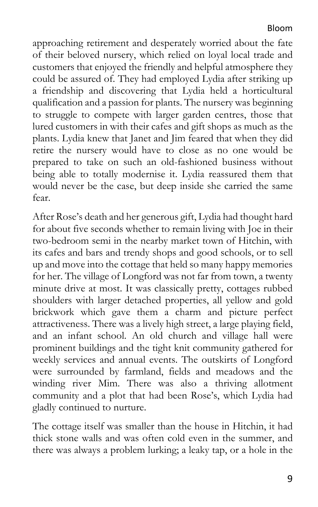approaching retirement and desperately worried about the fate of their beloved nursery, which relied on loyal local trade and customers that enjoyed the friendly and helpful atmosphere they could be assured of. They had employed Lydia after striking up a friendship and discovering that Lydia held a horticultural qualification and a passion for plants. The nursery was beginning to struggle to compete with larger garden centres, those that lured customers in with their cafes and gift shops as much as the plants. Lydia knew that Janet and Jim feared that when they did retire the nursery would have to close as no one would be prepared to take on such an old-fashioned business without being able to totally modernise it. Lydia reassured them that would never be the case, but deep inside she carried the same fear.

After Rose's death and her generous gift, Lydia had thought hard for about five seconds whether to remain living with Joe in their two-bedroom semi in the nearby market town of Hitchin, with its cafes and bars and trendy shops and good schools, or to sell up and move into the cottage that held so many happy memories for her. The village of Longford was not far from town, a twenty minute drive at most. It was classically pretty, cottages rubbed shoulders with larger detached properties, all yellow and gold brickwork which gave them a charm and picture perfect attractiveness. There was a lively high street, a large playing field, and an infant school. An old church and village hall were prominent buildings and the tight knit community gathered for weekly services and annual events. The outskirts of Longford were surrounded by farmland, fields and meadows and the winding river Mim. There was also a thriving allotment community and a plot that had been Rose's, which Lydia had gladly continued to nurture.

The cottage itself was smaller than the house in Hitchin, it had thick stone walls and was often cold even in the summer, and there was always a problem lurking; a leaky tap, or a hole in the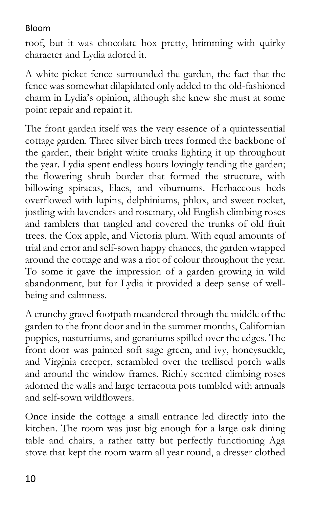roof, but it was chocolate box pretty, brimming with quirky character and Lydia adored it.

A white picket fence surrounded the garden, the fact that the fence was somewhat dilapidated only added to the old-fashioned charm in Lydia's opinion, although she knew she must at some point repair and repaint it.

The front garden itself was the very essence of a quintessential cottage garden. Three silver birch trees formed the backbone of the garden, their bright white trunks lighting it up throughout the year. Lydia spent endless hours lovingly tending the garden; the flowering shrub border that formed the structure, with billowing spiraeas, lilacs, and viburnums. Herbaceous beds overflowed with lupins, delphiniums, phlox, and sweet rocket, jostling with lavenders and rosemary, old English climbing roses and ramblers that tangled and covered the trunks of old fruit trees, the Cox apple, and Victoria plum. With equal amounts of trial and error and self-sown happy chances, the garden wrapped around the cottage and was a riot of colour throughout the year. To some it gave the impression of a garden growing in wild abandonment, but for Lydia it provided a deep sense of wellbeing and calmness.

A crunchy gravel footpath meandered through the middle of the garden to the front door and in the summer months, Californian poppies, nasturtiums, and geraniums spilled over the edges. The front door was painted soft sage green, and ivy, honeysuckle, and Virginia creeper, scrambled over the trellised porch walls and around the window frames. Richly scented climbing roses adorned the walls and large terracotta pots tumbled with annuals and self-sown wildflowers.

Once inside the cottage a small entrance led directly into the kitchen. The room was just big enough for a large oak dining table and chairs, a rather tatty but perfectly functioning Aga stove that kept the room warm all year round, a dresser clothed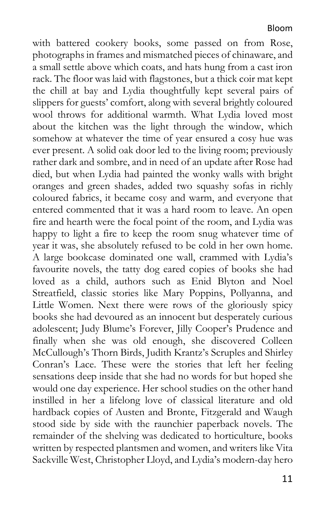with battered cookery books, some passed on from Rose, photographs in frames and mismatched pieces of chinaware, and a small settle above which coats, and hats hung from a cast iron rack. The floor was laid with flagstones, but a thick coir mat kept the chill at bay and Lydia thoughtfully kept several pairs of slippers for guests' comfort, along with several brightly coloured wool throws for additional warmth. What Lydia loved most about the kitchen was the light through the window, which somehow at whatever the time of year ensured a cosy hue was ever present. A solid oak door led to the living room; previously rather dark and sombre, and in need of an update after Rose had died, but when Lydia had painted the wonky walls with bright oranges and green shades, added two squashy sofas in richly coloured fabrics, it became cosy and warm, and everyone that entered commented that it was a hard room to leave. An open fire and hearth were the focal point of the room, and Lydia was happy to light a fire to keep the room snug whatever time of year it was, she absolutely refused to be cold in her own home. A large bookcase dominated one wall, crammed with Lydia's favourite novels, the tatty dog eared copies of books she had loved as a child, authors such as Enid Blyton and Noel Streatfield, classic stories like Mary Poppins, Pollyanna, and Little Women. Next there were rows of the gloriously spicy books she had devoured as an innocent but desperately curious adolescent; Judy Blume's Forever, Jilly Cooper's Prudence and finally when she was old enough, she discovered Colleen McCullough's Thorn Birds, Judith Krantz's Scruples and Shirley Conran's Lace. These were the stories that left her feeling sensations deep inside that she had no words for but hoped she would one day experience. Her school studies on the other hand instilled in her a lifelong love of classical literature and old hardback copies of Austen and Bronte, Fitzgerald and Waugh stood side by side with the raunchier paperback novels. The remainder of the shelving was dedicated to horticulture, books written by respected plantsmen and women, and writers like Vita Sackville West, Christopher Lloyd, and Lydia's modern-day hero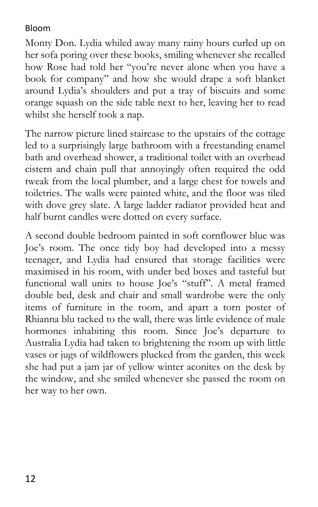Monty Don. Lydia whiled away many rainy hours curled up on her sofa poring over these books, smiling whenever she recalled how Rose had told her "you're never alone when you have a book for company" and how she would drape a soft blanket around Lydia's shoulders and put a tray of biscuits and some orange squash on the side table next to her, leaving her to read whilst she herself took a nap.

The narrow picture lined staircase to the upstairs of the cottage led to a surprisingly large bathroom with a freestanding enamel bath and overhead shower, a traditional toilet with an overhead cistern and chain pull that annoyingly often required the odd tweak from the local plumber, and a large chest for towels and toiletries. The walls were painted white, and the floor was tiled with dove grey slate. A large ladder radiator provided heat and half burnt candles were dotted on every surface.

A second double bedroom painted in soft cornflower blue was Joe's room. The once tidy boy had developed into a messy teenager, and Lydia had ensured that storage facilities were maximised in his room, with under bed boxes and tasteful but functional wall units to house Joe's "stuff". A metal framed double bed, desk and chair and small wardrobe were the only items of furniture in the room, and apart a torn poster of Rhianna blu tacked to the wall, there was little evidence of male hormones inhabiting this room. Since Joe's departure to Australia Lydia had taken to brightening the room up with little vases or jugs of wildflowers plucked from the garden, this week she had put a jam jar of yellow winter aconites on the desk by the window, and she smiled whenever she passed the room on her way to her own.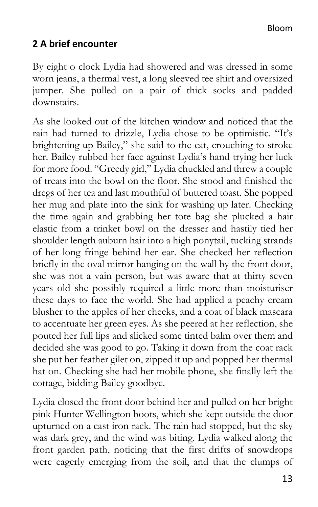# **2 A brief encounter**

By eight o clock Lydia had showered and was dressed in some worn jeans, a thermal vest, a long sleeved tee shirt and oversized jumper. She pulled on a pair of thick socks and padded downstairs.

As she looked out of the kitchen window and noticed that the rain had turned to drizzle, Lydia chose to be optimistic. "It's brightening up Bailey," she said to the cat, crouching to stroke her. Bailey rubbed her face against Lydia's hand trying her luck for more food. "Greedy girl," Lydia chuckled and threw a couple of treats into the bowl on the floor. She stood and finished the dregs of her tea and last mouthful of buttered toast. She popped her mug and plate into the sink for washing up later. Checking the time again and grabbing her tote bag she plucked a hair elastic from a trinket bowl on the dresser and hastily tied her shoulder length auburn hair into a high ponytail, tucking strands of her long fringe behind her ear. She checked her reflection briefly in the oval mirror hanging on the wall by the front door, she was not a vain person, but was aware that at thirty seven years old she possibly required a little more than moisturiser these days to face the world. She had applied a peachy cream blusher to the apples of her cheeks, and a coat of black mascara to accentuate her green eyes. As she peered at her reflection, she pouted her full lips and slicked some tinted balm over them and decided she was good to go. Taking it down from the coat rack she put her feather gilet on, zipped it up and popped her thermal hat on. Checking she had her mobile phone, she finally left the cottage, bidding Bailey goodbye.

Lydia closed the front door behind her and pulled on her bright pink Hunter Wellington boots, which she kept outside the door upturned on a cast iron rack. The rain had stopped, but the sky was dark grey, and the wind was biting. Lydia walked along the front garden path, noticing that the first drifts of snowdrops were eagerly emerging from the soil, and that the clumps of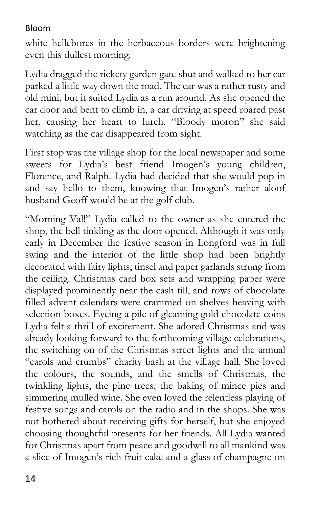white hellebores in the herbaceous borders were brightening even this dullest morning.

Lydia dragged the rickety garden gate shut and walked to her car parked a little way down the road. The car was a rather rusty and old mini, but it suited Lydia as a run around. As she opened the car door and bent to climb in, a car driving at speed roared past her, causing her heart to lurch. "Bloody moron" she said watching as the car disappeared from sight.

First stop was the village shop for the local newspaper and some sweets for Lydia's best friend Imogen's young children, Florence, and Ralph. Lydia had decided that she would pop in and say hello to them, knowing that Imogen's rather aloof husband Geoff would be at the golf club.

"Morning Val!" Lydia called to the owner as she entered the shop, the bell tinkling as the door opened. Although it was only early in December the festive season in Longford was in full swing and the interior of the little shop had been brightly decorated with fairy lights, tinsel and paper garlands strung from the ceiling. Christmas card box sets and wrapping paper were displayed prominently near the cash till, and rows of chocolate filled advent calendars were crammed on shelves heaving with selection boxes. Eyeing a pile of gleaming gold chocolate coins Lydia felt a thrill of excitement. She adored Christmas and was already looking forward to the forthcoming village celebrations, the switching on of the Christmas street lights and the annual "carols and crumbs" charity bash at the village hall. She loved the colours, the sounds, and the smells of Christmas, the twinkling lights, the pine trees, the baking of mince pies and simmering mulled wine. She even loved the relentless playing of festive songs and carols on the radio and in the shops. She was not bothered about receiving gifts for herself, but she enjoyed choosing thoughtful presents for her friends. All Lydia wanted for Christmas apart from peace and goodwill to all mankind was a slice of Imogen's rich fruit cake and a glass of champagne on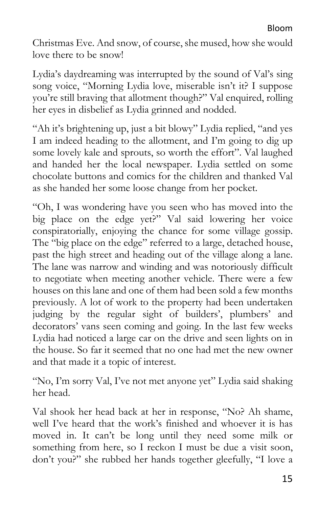Christmas Eve. And snow, of course, she mused, how she would love there to be snow!

Lydia's daydreaming was interrupted by the sound of Val's sing song voice, "Morning Lydia love, miserable isn't it? I suppose you're still braving that allotment though?" Val enquired, rolling her eyes in disbelief as Lydia grinned and nodded.

"Ah it's brightening up, just a bit blowy" Lydia replied, "and yes I am indeed heading to the allotment, and I'm going to dig up some lovely kale and sprouts, so worth the effort". Val laughed and handed her the local newspaper. Lydia settled on some chocolate buttons and comics for the children and thanked Val as she handed her some loose change from her pocket.

"Oh, I was wondering have you seen who has moved into the big place on the edge yet?" Val said lowering her voice conspiratorially, enjoying the chance for some village gossip. The "big place on the edge" referred to a large, detached house, past the high street and heading out of the village along a lane. The lane was narrow and winding and was notoriously difficult to negotiate when meeting another vehicle. There were a few houses on this lane and one of them had been sold a few months previously. A lot of work to the property had been undertaken judging by the regular sight of builders', plumbers' and decorators' vans seen coming and going. In the last few weeks Lydia had noticed a large car on the drive and seen lights on in the house. So far it seemed that no one had met the new owner and that made it a topic of interest.

"No, I'm sorry Val, I've not met anyone yet" Lydia said shaking her head.

Val shook her head back at her in response, "No? Ah shame, well I've heard that the work's finished and whoever it is has moved in. It can't be long until they need some milk or something from here, so I reckon I must be due a visit soon, don't you?" she rubbed her hands together gleefully, "I love a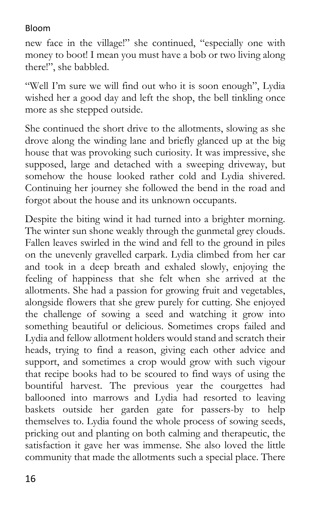new face in the village!" she continued, "especially one with money to boot! I mean you must have a bob or two living along there!", she babbled.

"Well I'm sure we will find out who it is soon enough", Lydia wished her a good day and left the shop, the bell tinkling once more as she stepped outside.

She continued the short drive to the allotments, slowing as she drove along the winding lane and briefly glanced up at the big house that was provoking such curiosity. It was impressive, she supposed, large and detached with a sweeping driveway, but somehow the house looked rather cold and Lydia shivered. Continuing her journey she followed the bend in the road and forgot about the house and its unknown occupants.

Despite the biting wind it had turned into a brighter morning. The winter sun shone weakly through the gunmetal grey clouds. Fallen leaves swirled in the wind and fell to the ground in piles on the unevenly gravelled carpark. Lydia climbed from her car and took in a deep breath and exhaled slowly, enjoying the feeling of happiness that she felt when she arrived at the allotments. She had a passion for growing fruit and vegetables, alongside flowers that she grew purely for cutting. She enjoyed the challenge of sowing a seed and watching it grow into something beautiful or delicious. Sometimes crops failed and Lydia and fellow allotment holders would stand and scratch their heads, trying to find a reason, giving each other advice and support, and sometimes a crop would grow with such vigour that recipe books had to be scoured to find ways of using the bountiful harvest. The previous year the courgettes had ballooned into marrows and Lydia had resorted to leaving baskets outside her garden gate for passers-by to help themselves to. Lydia found the whole process of sowing seeds, pricking out and planting on both calming and therapeutic, the satisfaction it gave her was immense. She also loved the little community that made the allotments such a special place. There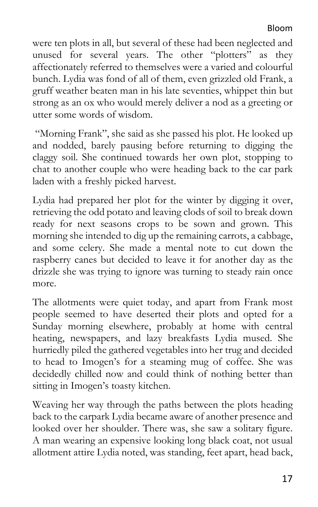were ten plots in all, but several of these had been neglected and unused for several years. The other "plotters" as they affectionately referred to themselves were a varied and colourful bunch. Lydia was fond of all of them, even grizzled old Frank, a gruff weather beaten man in his late seventies, whippet thin but strong as an ox who would merely deliver a nod as a greeting or utter some words of wisdom.

 "Morning Frank", she said as she passed his plot. He looked up and nodded, barely pausing before returning to digging the claggy soil. She continued towards her own plot, stopping to chat to another couple who were heading back to the car park laden with a freshly picked harvest.

Lydia had prepared her plot for the winter by digging it over, retrieving the odd potato and leaving clods of soil to break down ready for next seasons crops to be sown and grown. This morning she intended to dig up the remaining carrots, a cabbage, and some celery. She made a mental note to cut down the raspberry canes but decided to leave it for another day as the drizzle she was trying to ignore was turning to steady rain once more.

The allotments were quiet today, and apart from Frank most people seemed to have deserted their plots and opted for a Sunday morning elsewhere, probably at home with central heating, newspapers, and lazy breakfasts Lydia mused. She hurriedly piled the gathered vegetables into her trug and decided to head to Imogen's for a steaming mug of coffee. She was decidedly chilled now and could think of nothing better than sitting in Imogen's toasty kitchen.

Weaving her way through the paths between the plots heading back to the carpark Lydia became aware of another presence and looked over her shoulder. There was, she saw a solitary figure. A man wearing an expensive looking long black coat, not usual allotment attire Lydia noted, was standing, feet apart, head back,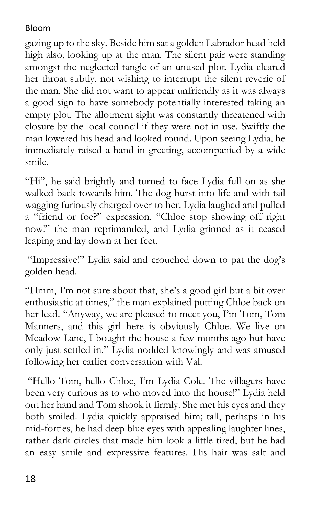gazing up to the sky. Beside him sat a golden Labrador head held high also, looking up at the man. The silent pair were standing amongst the neglected tangle of an unused plot. Lydia cleared her throat subtly, not wishing to interrupt the silent reverie of the man. She did not want to appear unfriendly as it was always a good sign to have somebody potentially interested taking an empty plot. The allotment sight was constantly threatened with closure by the local council if they were not in use. Swiftly the man lowered his head and looked round. Upon seeing Lydia, he immediately raised a hand in greeting, accompanied by a wide smile.

"Hi", he said brightly and turned to face Lydia full on as she walked back towards him. The dog burst into life and with tail wagging furiously charged over to her. Lydia laughed and pulled a "friend or foe?" expression. "Chloe stop showing off right now!" the man reprimanded, and Lydia grinned as it ceased leaping and lay down at her feet.

 "Impressive!" Lydia said and crouched down to pat the dog's golden head.

"Hmm, I'm not sure about that, she's a good girl but a bit over enthusiastic at times," the man explained putting Chloe back on her lead. "Anyway, we are pleased to meet you, I'm Tom, Tom Manners, and this girl here is obviously Chloe. We live on Meadow Lane, I bought the house a few months ago but have only just settled in." Lydia nodded knowingly and was amused following her earlier conversation with Val.

 "Hello Tom, hello Chloe, I'm Lydia Cole. The villagers have been very curious as to who moved into the house!" Lydia held out her hand and Tom shook it firmly. She met his eyes and they both smiled. Lydia quickly appraised him; tall, perhaps in his mid-forties, he had deep blue eyes with appealing laughter lines, rather dark circles that made him look a little tired, but he had an easy smile and expressive features. His hair was salt and